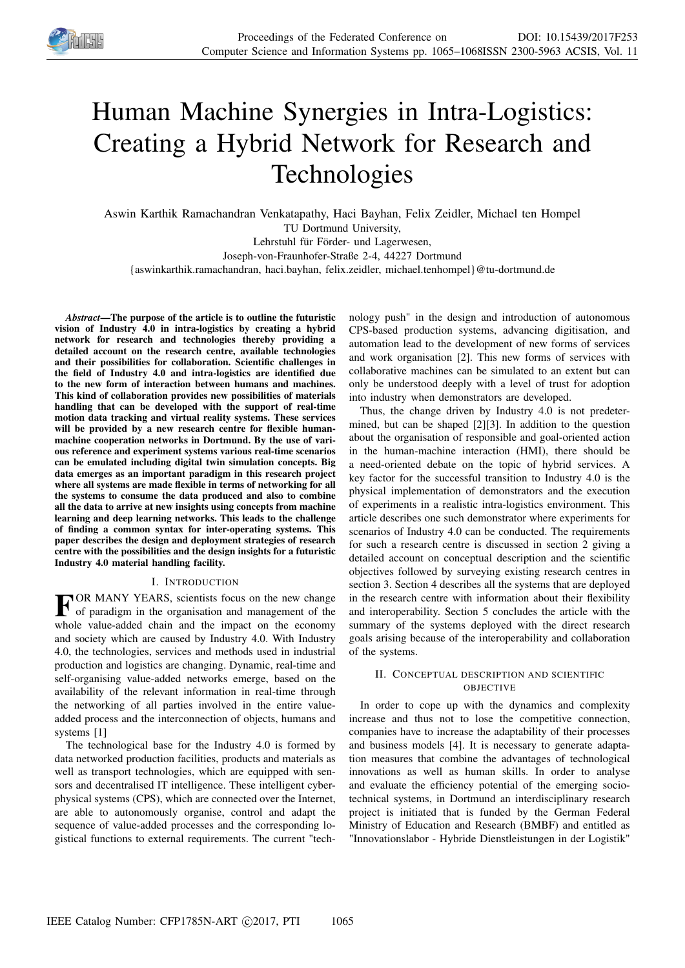

# Human Machine Synergies in Intra-Logistics: Creating a Hybrid Network for Research and Technologies

Aswin Karthik Ramachandran Venkatapathy, Haci Bayhan, Felix Zeidler, Michael ten Hompel TU Dortmund University, Lehrstuhl für Förder- und Lagerwesen, Joseph-von-Fraunhofer-Straße 2-4, 44227 Dortmund {aswinkarthik.ramachandran, haci.bayhan, felix.zeidler, michael.tenhompel}@tu-dortmund.de

*Abstract*—The purpose of the article is to outline the futuristic vision of Industry 4.0 in intra-logistics by creating a hybrid network for research and technologies thereby providing a detailed account on the research centre, available technologies and their possibilities for collaboration. Scientific challenges in the field of Industry 4.0 and intra-logistics are identified due to the new form of interaction between humans and machines. This kind of collaboration provides new possibilities of materials handling that can be developed with the support of real-time motion data tracking and virtual reality systems. These services will be provided by a new research centre for flexible humanmachine cooperation networks in Dortmund. By the use of various reference and experiment systems various real-time scenarios can be emulated including digital twin simulation concepts. Big data emerges as an important paradigm in this research project where all systems are made flexible in terms of networking for all the systems to consume the data produced and also to combine all the data to arrive at new insights using concepts from machine learning and deep learning networks. This leads to the challenge of finding a common syntax for inter-operating systems. This paper describes the design and deployment strategies of research centre with the possibilities and the design insights for a futuristic Industry 4.0 material handling facility.

## I. INTRODUCTION

FOR MANY YEARS, scientists focus on the new change<br>of paradigm in the organisation and management of the of paradigm in the organisation and management of the whole value-added chain and the impact on the economy and society which are caused by Industry 4.0. With Industry 4.0, the technologies, services and methods used in industrial production and logistics are changing. Dynamic, real-time and self-organising value-added networks emerge, based on the availability of the relevant information in real-time through the networking of all parties involved in the entire valueadded process and the interconnection of objects, humans and systems [1]

The technological base for the Industry 4.0 is formed by data networked production facilities, products and materials as well as transport technologies, which are equipped with sensors and decentralised IT intelligence. These intelligent cyberphysical systems (CPS), which are connected over the Internet, are able to autonomously organise, control and adapt the sequence of value-added processes and the corresponding logistical functions to external requirements. The current "technology push" in the design and introduction of autonomous CPS-based production systems, advancing digitisation, and automation lead to the development of new forms of services and work organisation [2]. This new forms of services with collaborative machines can be simulated to an extent but can only be understood deeply with a level of trust for adoption into industry when demonstrators are developed.

Thus, the change driven by Industry 4.0 is not predetermined, but can be shaped [2][3]. In addition to the question about the organisation of responsible and goal-oriented action in the human-machine interaction (HMI), there should be a need-oriented debate on the topic of hybrid services. A key factor for the successful transition to Industry 4.0 is the physical implementation of demonstrators and the execution of experiments in a realistic intra-logistics environment. This article describes one such demonstrator where experiments for scenarios of Industry 4.0 can be conducted. The requirements for such a research centre is discussed in section 2 giving a detailed account on conceptual description and the scientific objectives followed by surveying existing research centres in section 3. Section 4 describes all the systems that are deployed in the research centre with information about their flexibility and interoperability. Section 5 concludes the article with the summary of the systems deployed with the direct research goals arising because of the interoperability and collaboration of the systems.

# II. CONCEPTUAL DESCRIPTION AND SCIENTIFIC OBJECTIVE

In order to cope up with the dynamics and complexity increase and thus not to lose the competitive connection, companies have to increase the adaptability of their processes and business models [4]. It is necessary to generate adaptation measures that combine the advantages of technological innovations as well as human skills. In order to analyse and evaluate the efficiency potential of the emerging sociotechnical systems, in Dortmund an interdisciplinary research project is initiated that is funded by the German Federal Ministry of Education and Research (BMBF) and entitled as "Innovationslabor - Hybride Dienstleistungen in der Logistik"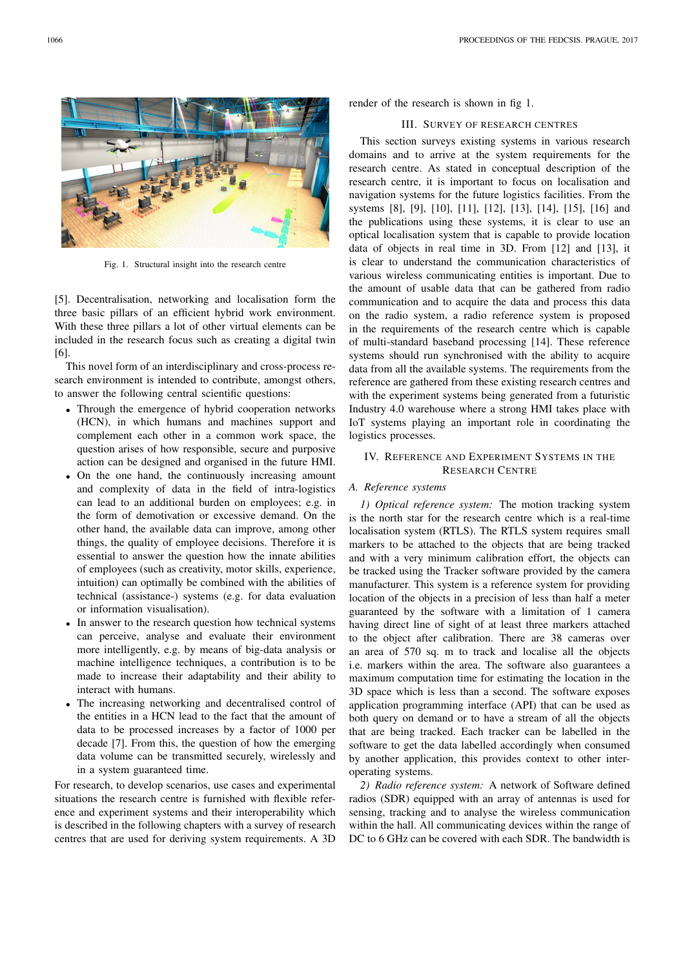Fig. 1. Structural insight into the research centre

[5]. Decentralisation, networking and localisation form the three basic pillars of an efficient hybrid work environment. With these three pillars a lot of other virtual elements can be included in the research focus such as creating a digital twin [6].

This novel form of an interdisciplinary and cross-process research environment is intended to contribute, amongst others, to answer the following central scientific questions:

- Through the emergence of hybrid cooperation networks (HCN), in which humans and machines support and complement each other in a common work space, the question arises of how responsible, secure and purposive action can be designed and organised in the future HMI.
- On the one hand, the continuously increasing amount and complexity of data in the field of intra-logistics can lead to an additional burden on employees; e.g. in the form of demotivation or excessive demand. On the other hand, the available data can improve, among other things, the quality of employee decisions. Therefore it is essential to answer the question how the innate abilities of employees (such as creativity, motor skills, experience, intuition) can optimally be combined with the abilities of technical (assistance-) systems (e.g. for data evaluation or information visualisation).
- In answer to the research question how technical systems can perceive, analyse and evaluate their environment more intelligently, e.g. by means of big-data analysis or machine intelligence techniques, a contribution is to be made to increase their adaptability and their ability to interact with humans.
- The increasing networking and decentralised control of the entities in a HCN lead to the fact that the amount of data to be processed increases by a factor of 1000 per decade [7]. From this, the question of how the emerging data volume can be transmitted securely, wirelessly and in a system guaranteed time.

For research, to develop scenarios, use cases and experimental situations the research centre is furnished with flexible reference and experiment systems and their interoperability which is described in the following chapters with a survey of research centres that are used for deriving system requirements. A 3D

render of the research is shown in fig 1.

## III. SURVEY OF RESEARCH CENTRES

This section surveys existing systems in various research domains and to arrive at the system requirements for the research centre. As stated in conceptual description of the research centre, it is important to focus on localisation and navigation systems for the future logistics facilities. From the systems [8], [9], [10], [11], [12], [13], [14], [15], [16] and the publications using these systems, it is clear to use an optical localisation system that is capable to provide location data of objects in real time in 3D. From [12] and [13], it is clear to understand the communication characteristics of various wireless communicating entities is important. Due to the amount of usable data that can be gathered from radio communication and to acquire the data and process this data on the radio system, a radio reference system is proposed in the requirements of the research centre which is capable of multi-standard baseband processing [14]. These reference systems should run synchronised with the ability to acquire data from all the available systems. The requirements from the reference are gathered from these existing research centres and with the experiment systems being generated from a futuristic Industry 4.0 warehouse where a strong HMI takes place with IoT systems playing an important role in coordinating the logistics processes.

## IV. REFERENCE AND EXPERIMENT SYSTEMS IN THE RESEARCH CENTRE

# *A. Reference systems*

*1) Optical reference system:* The motion tracking system is the north star for the research centre which is a real-time localisation system (RTLS). The RTLS system requires small markers to be attached to the objects that are being tracked and with a very minimum calibration effort, the objects can be tracked using the Tracker software provided by the camera manufacturer. This system is a reference system for providing location of the objects in a precision of less than half a meter guaranteed by the software with a limitation of 1 camera having direct line of sight of at least three markers attached to the object after calibration. There are 38 cameras over an area of 570 sq. m to track and localise all the objects i.e. markers within the area. The software also guarantees a maximum computation time for estimating the location in the 3D space which is less than a second. The software exposes application programming interface (API) that can be used as both query on demand or to have a stream of all the objects that are being tracked. Each tracker can be labelled in the software to get the data labelled accordingly when consumed by another application, this provides context to other interoperating systems.

*2) Radio reference system:* A network of Software defined radios (SDR) equipped with an array of antennas is used for sensing, tracking and to analyse the wireless communication within the hall. All communicating devices within the range of DC to 6 GHz can be covered with each SDR. The bandwidth is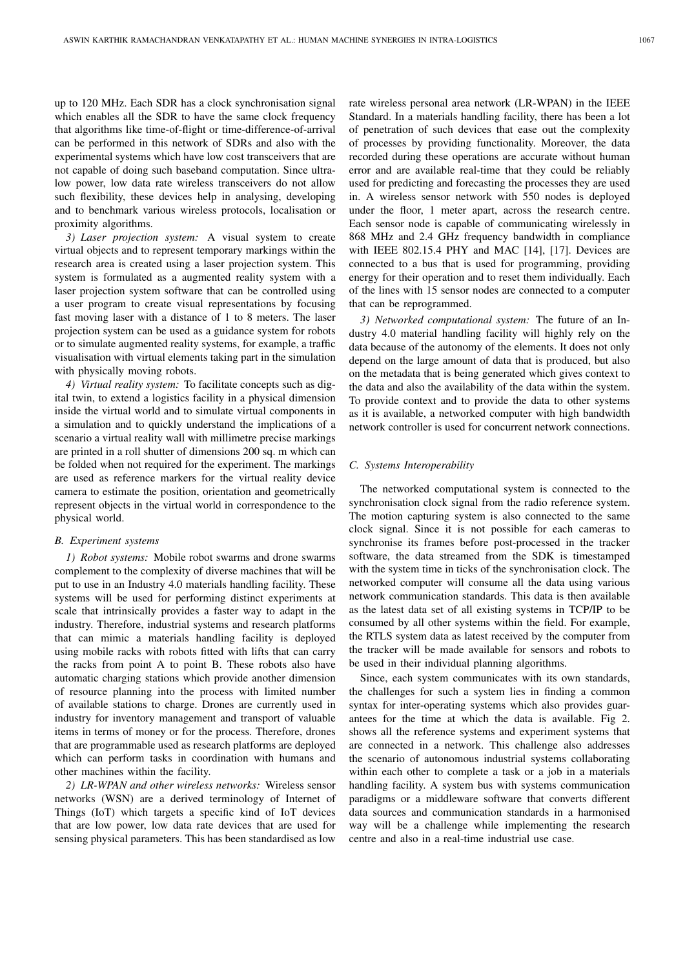up to 120 MHz. Each SDR has a clock synchronisation signal which enables all the SDR to have the same clock frequency that algorithms like time-of-flight or time-difference-of-arrival can be performed in this network of SDRs and also with the experimental systems which have low cost transceivers that are not capable of doing such baseband computation. Since ultralow power, low data rate wireless transceivers do not allow such flexibility, these devices help in analysing, developing and to benchmark various wireless protocols, localisation or proximity algorithms.

*3) Laser projection system:* A visual system to create virtual objects and to represent temporary markings within the research area is created using a laser projection system. This system is formulated as a augmented reality system with a laser projection system software that can be controlled using a user program to create visual representations by focusing fast moving laser with a distance of 1 to 8 meters. The laser projection system can be used as a guidance system for robots or to simulate augmented reality systems, for example, a traffic visualisation with virtual elements taking part in the simulation with physically moving robots.

*4) Virtual reality system:* To facilitate concepts such as digital twin, to extend a logistics facility in a physical dimension inside the virtual world and to simulate virtual components in a simulation and to quickly understand the implications of a scenario a virtual reality wall with millimetre precise markings are printed in a roll shutter of dimensions 200 sq. m which can be folded when not required for the experiment. The markings are used as reference markers for the virtual reality device camera to estimate the position, orientation and geometrically represent objects in the virtual world in correspondence to the physical world.

#### *B. Experiment systems*

*1) Robot systems:* Mobile robot swarms and drone swarms complement to the complexity of diverse machines that will be put to use in an Industry 4.0 materials handling facility. These systems will be used for performing distinct experiments at scale that intrinsically provides a faster way to adapt in the industry. Therefore, industrial systems and research platforms that can mimic a materials handling facility is deployed using mobile racks with robots fitted with lifts that can carry the racks from point A to point B. These robots also have automatic charging stations which provide another dimension of resource planning into the process with limited number of available stations to charge. Drones are currently used in industry for inventory management and transport of valuable items in terms of money or for the process. Therefore, drones that are programmable used as research platforms are deployed which can perform tasks in coordination with humans and other machines within the facility.

*2) LR-WPAN and other wireless networks:* Wireless sensor networks (WSN) are a derived terminology of Internet of Things (IoT) which targets a specific kind of IoT devices that are low power, low data rate devices that are used for sensing physical parameters. This has been standardised as low

rate wireless personal area network (LR-WPAN) in the IEEE Standard. In a materials handling facility, there has been a lot of penetration of such devices that ease out the complexity of processes by providing functionality. Moreover, the data recorded during these operations are accurate without human error and are available real-time that they could be reliably used for predicting and forecasting the processes they are used in. A wireless sensor network with 550 nodes is deployed under the floor, 1 meter apart, across the research centre. Each sensor node is capable of communicating wirelessly in 868 MHz and 2.4 GHz frequency bandwidth in compliance with IEEE 802.15.4 PHY and MAC [14], [17]. Devices are connected to a bus that is used for programming, providing energy for their operation and to reset them individually. Each of the lines with 15 sensor nodes are connected to a computer that can be reprogrammed.

*3) Networked computational system:* The future of an Industry 4.0 material handling facility will highly rely on the data because of the autonomy of the elements. It does not only depend on the large amount of data that is produced, but also on the metadata that is being generated which gives context to the data and also the availability of the data within the system. To provide context and to provide the data to other systems as it is available, a networked computer with high bandwidth network controller is used for concurrent network connections.

#### *C. Systems Interoperability*

The networked computational system is connected to the synchronisation clock signal from the radio reference system. The motion capturing system is also connected to the same clock signal. Since it is not possible for each cameras to synchronise its frames before post-processed in the tracker software, the data streamed from the SDK is timestamped with the system time in ticks of the synchronisation clock. The networked computer will consume all the data using various network communication standards. This data is then available as the latest data set of all existing systems in TCP/IP to be consumed by all other systems within the field. For example, the RTLS system data as latest received by the computer from the tracker will be made available for sensors and robots to be used in their individual planning algorithms.

Since, each system communicates with its own standards, the challenges for such a system lies in finding a common syntax for inter-operating systems which also provides guarantees for the time at which the data is available. Fig 2. shows all the reference systems and experiment systems that are connected in a network. This challenge also addresses the scenario of autonomous industrial systems collaborating within each other to complete a task or a job in a materials handling facility. A system bus with systems communication paradigms or a middleware software that converts different data sources and communication standards in a harmonised way will be a challenge while implementing the research centre and also in a real-time industrial use case.